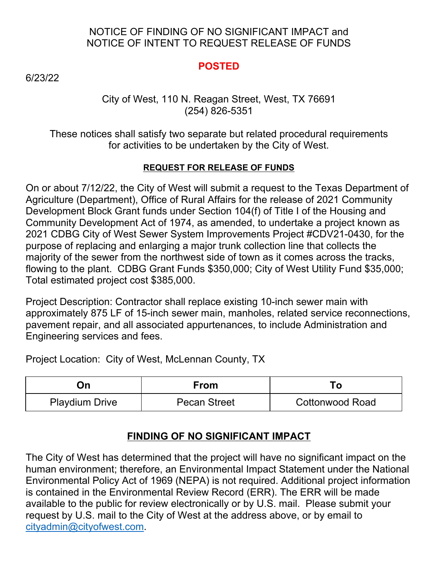### NOTICE OF FINDING OF NO SIGNIFICANT IMPACT and NOTICE OF INTENT TO REQUEST RELEASE OF FUNDS

### **POSTED**

6/23/22

#### City of West, 110 N. Reagan Street, West, TX 76691 (254) 826-5351

These notices shall satisfy two separate but related procedural requirements for activities to be undertaken by the City of West.

#### **REQUEST FOR RELEASE OF FUNDS**

On or about 7/12/22, the City of West will submit a request to the Texas Department of Agriculture (Department), Office of Rural Affairs for the release of 2021 Community Development Block Grant funds under Section 104(f) of Title I of the Housing and Community Development Act of 1974, as amended, to undertake a project known as 2021 CDBG City of West Sewer System Improvements Project #CDV21-0430, for the purpose of replacing and enlarging a major trunk collection line that collects the majority of the sewer from the northwest side of town as it comes across the tracks, flowing to the plant. CDBG Grant Funds \$350,000; City of West Utility Fund \$35,000; Total estimated project cost \$385,000.

Project Description: Contractor shall replace existing 10-inch sewer main with approximately 875 LF of 15-inch sewer main, manholes, related service reconnections, pavement repair, and all associated appurtenances, to include Administration and Engineering services and fees.

Project Location:City of West, McLennan County, TX

| Эn                    | From                |                 |
|-----------------------|---------------------|-----------------|
| <b>Playdium Drive</b> | <b>Pecan Street</b> | Cottonwood Road |

## **FINDING OF NO SIGNIFICANT IMPACT**

The City of West has determined that the project will have no significant impact on the human environment; therefore, an Environmental Impact Statement under the National Environmental Policy Act of 1969 (NEPA) is not required. Additional project information is contained in the Environmental Review Record (ERR). The ERR will be made available to the public for review electronically or by U.S. mail. Please submit your request by U.S. mail to the City of West at the address above, or by email to [cityadmin@cityofwest.com](mailto:cityadmin@cityofwest.com).